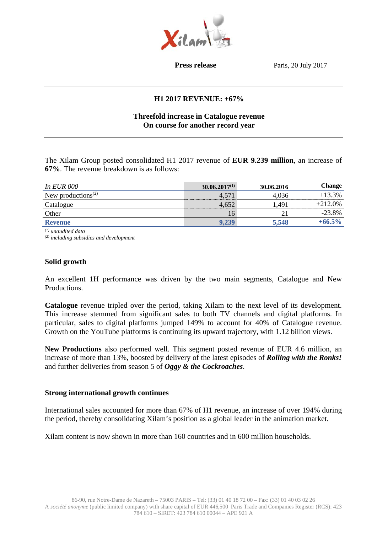

**Press release** Paris, 20 July 2017

## **H1 2017 REVENUE: +67%**

## **Threefold increase in Catalogue revenue On course for another record year**

The Xilam Group posted consolidated H1 2017 revenue of **EUR 9.239 million**, an increase of **67%**. The revenue breakdown is as follows:

| <i>In EUR 000</i>                           | $30.06.2017^{(1)}$ | 30.06.2016 | <b>Change</b> |
|---------------------------------------------|--------------------|------------|---------------|
| New productions <sup><math>(2)</math></sup> | 4,571              | 4,036      | $+13.3%$      |
| Catalogue                                   | 4,652              | 1,491      | $+212.0%$     |
| Other                                       | 16                 | 21         | $-23.8%$      |
| <b>Revenue</b>                              | 9,239              | 5,548      | $+66.5\%$     |

*(1) unaudited data* 

*(2) including subsidies and development* 

#### **Solid growth**

An excellent 1H performance was driven by the two main segments, Catalogue and New Productions.

**Catalogue** revenue tripled over the period, taking Xilam to the next level of its development. This increase stemmed from significant sales to both TV channels and digital platforms. In particular, sales to digital platforms jumped 149% to account for 40% of Catalogue revenue. Growth on the YouTube platforms is continuing its upward trajectory, with 1.12 billion views.

**New Productions** also performed well. This segment posted revenue of EUR 4.6 million, an increase of more than 13%, boosted by delivery of the latest episodes of *Rolling with the Ronks!* and further deliveries from season 5 of *Oggy & the Cockroaches*.

#### **Strong international growth continues**

International sales accounted for more than 67% of H1 revenue, an increase of over 194% during the period, thereby consolidating Xilam's position as a global leader in the animation market.

Xilam content is now shown in more than 160 countries and in 600 million households.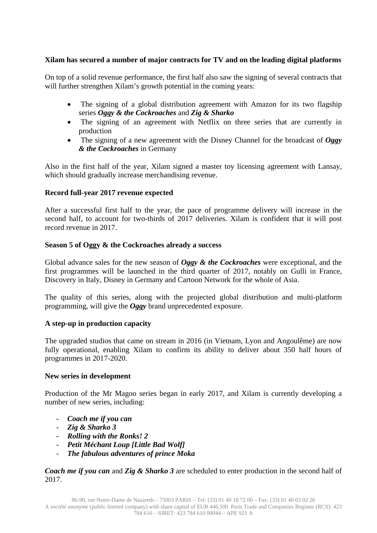# **Xilam has secured a number of major contracts for TV and on the leading digital platforms**

On top of a solid revenue performance, the first half also saw the signing of several contracts that will further strengthen Xilam's growth potential in the coming years:

- The signing of a global distribution agreement with Amazon for its two flagship series *Oggy & the Cockroaches* and *Zig & Sharko*
- The signing of an agreement with Netflix on three series that are currently in production
- The signing of a new agreement with the Disney Channel for the broadcast of *Oggy & the Cockroaches* in Germany

Also in the first half of the year, Xilam signed a master toy licensing agreement with Lansay, which should gradually increase merchandising revenue.

# **Record full-year 2017 revenue expected**

After a successful first half to the year, the pace of programme delivery will increase in the second half, to account for two-thirds of 2017 deliveries. Xilam is confident that it will post record revenue in 2017.

### **Season 5 of Oggy & the Cockroaches already a success**

Global advance sales for the new season of *Oggy & the Cockroaches* were exceptional, and the first programmes will be launched in the third quarter of 2017, notably on Gulli in France, Discovery in Italy, Disney in Germany and Cartoon Network for the whole of Asia.

The quality of this series, along with the projected global distribution and multi-platform programming, will give the *Oggy* brand unprecedented exposure.

# **A step-up in production capacity**

The upgraded studios that came on stream in 2016 (in Vietnam, Lyon and Angoulême) are now fully operational, enabling Xilam to confirm its ability to deliver about 350 half hours of programmes in 2017-2020.

### **New series in development**

Production of the Mr Magoo series began in early 2017, and Xilam is currently developing a number of new series, including:

- *Coach me if you can*
- *Zig & Sharko 3*
- *Rolling with the Ronks! 2*
- *Petit Méchant Loup [Little Bad Wolf]*
- *The fabulous adventures of prince Moka*

*Coach me if you can* and *Zig & Sharko 3* are scheduled to enter production in the second half of 2017.